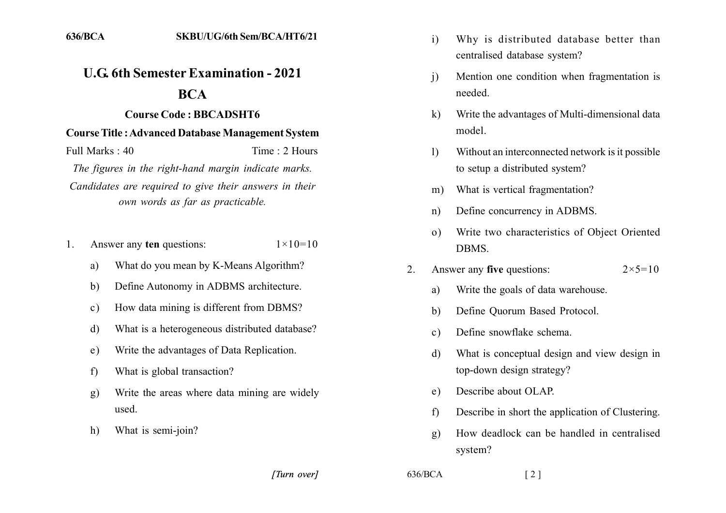## **U.G. 6th Semester Examination - 2021**

## **BCA**

## **Course Code: BBCADSHT6**

## **Course Title: Advanced Database Management System**

Full Marks  $\cdot$  40 Time: 2 Hours The figures in the right-hand margin indicate marks. Candidates are required to give their answers in their own words as far as practicable.

- Answer any ten questions:  $1 \times 10 = 10$  $1_{-}$ 
	- What do you mean by K-Means Algorithm? a)
	- Define Autonomy in ADBMS architecture. b)
	- How data mining is different from DBMS?  $c)$
	- What is a heterogeneous distributed database? d)
	- Write the advantages of Data Replication.  $e)$
	- What is global transaction?  $f$
	- Write the areas where data mining are widely **g**) used
	- What is semi-join?  $h)$
- Why is distributed database better than  $\mathbf{i}$ centralised database system?
- Mention one condition when fragmentation is  $\overline{1}$ needed
- Write the advantages of Multi-dimensional data  $\bf k$ model.
- Without an interconnected network is it possible  $\mathbf{1}$ to setup a distributed system?
- What is vertical fragmentation?  $m)$
- Define concurrency in ADBMS.  $n)$
- Write two characteristics of Object Oriented  $\Omega$ **DBMS**
- Answer any five questions:  $2 \times 5 = 10$  $\overline{2}$ 
	- Write the goals of data warehouse. a)
	- Define Ouorum Based Protocol.  $h)$
	- Define snowflake schema.  $c)$
	- What is conceptual design and view design in d) top-down design strategy?
	- Describe about OLAP.  $e)$
	- Describe in short the application of Clustering.  $f$
	- $g$ ) How deadlock can be handled in centralised system?

[Turn over]

 $636/BCA$ 

 $\lceil 2 \rceil$